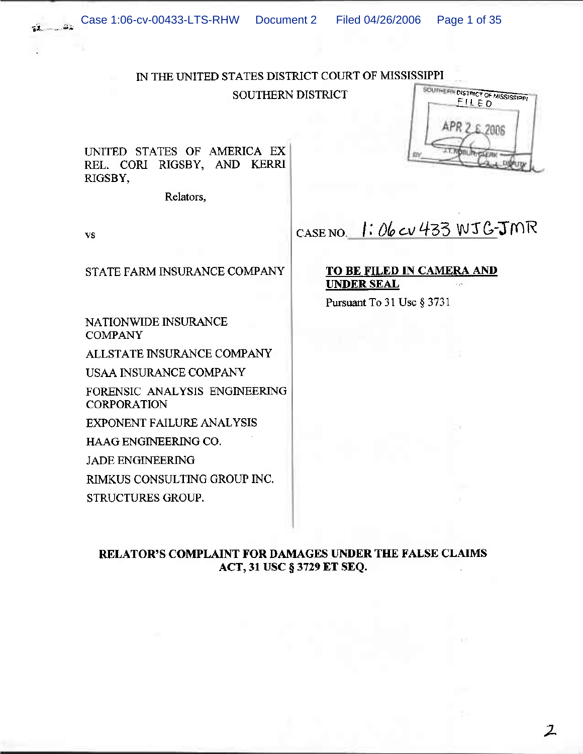# IN THE UNITED STATES DISTRICT COURT OF MISSISSIPPI

**SOUTHERN DISTRICT** 

UNITED STATES OF AMERICA EX REL. CORI RIGSBY, AND KERRI RIGSBY,

Relators,



 $\mathcal{Z}$ 

#### **VS**

 $\frac{1}{2}$ 

STATE FARM INSURANCE COMPANY

NATIONWIDE INSURANCE **COMPANY** 

ALLSTATE INSURANCE COMPANY

**USAA INSURANCE COMPANY** 

FORENSIC ANALYSIS ENGINEERING **CORPORATION** 

**EXPONENT FAILURE ANALYSIS** 

HAAG ENGINEERING CO.

**JADE ENGINEERING** 

RIMKUS CONSULTING GROUP INC.

STRUCTURES GROUP.

CASE NO. 1: 06 CV 433 WJG-JMR

# **TO BE FILED IN CAMERA AND UNDER SEAL**

Pursuant To 31 Use § 3731

RELATOR'S COMPLAINT FOR DAMAGES UNDER THE FALSE CLAIMS ACT, 31 USC § 3729 ET SEQ.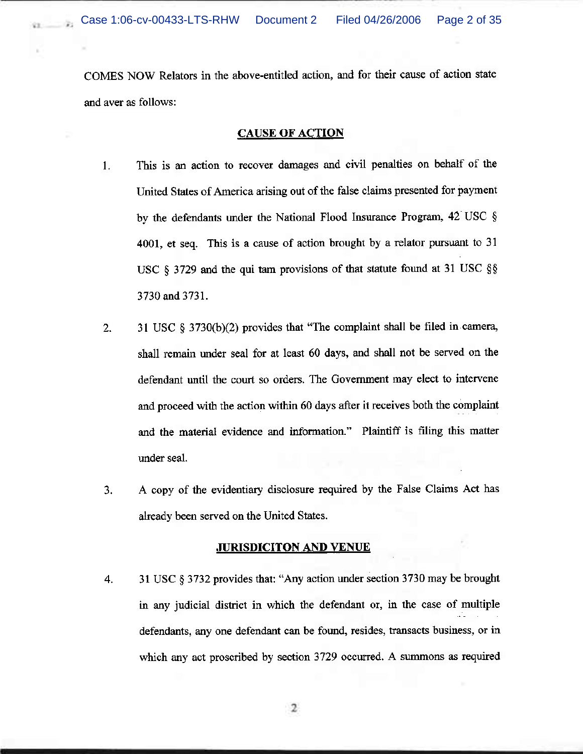ýχ.

×

COMES NOW Relators in the above-entitled action, and for their cause of action state and aver as follows:

## **CAUSE OF ACTION**

- $1.$ This is an action to recover damages and civil penalties on behalf of the United States of America arising out of the false claims presented for payment by the defendants under the National Flood Insurance Program, 42 USC § 4001, et seq. This is a cause of action brought by a relator pursuant to 31 USC § 3729 and the qui tam provisions of that statute found at 31 USC §§ 3730 and 3731.
- 31 USC  $\S$  3730(b)(2) provides that "The complaint shall be filed in camera,  $2.$ shall remain under seal for at least 60 days, and shall not be served on the defendant until the court so orders. The Government may elect to intervene and proceed with the action within 60 days after it receives both the complaint and the material evidence and information." Plaintiff is filing this matter under seal.
- A copy of the evidentiary disclosure required by the False Claims Act has 3. already been served on the United States.

## **JURISDICITON AND VENUE**

31 USC § 3732 provides that: "Any action under section 3730 may be brought 4. in any judicial district in which the defendant or, in the case of multiple defendants, any one defendant can be found, resides, transacts business, or in which any act proscribed by section 3729 occurred. A summons as required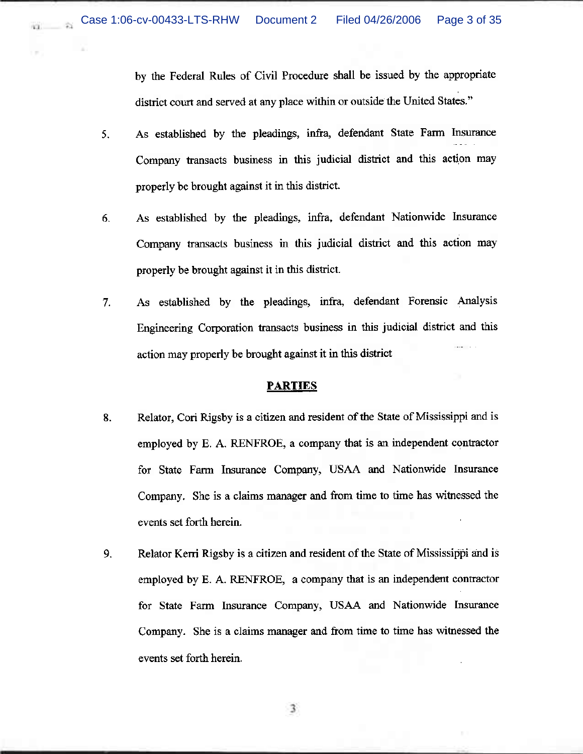na.

i.

by the Federal Rules of Civil Procedure shall be issued by the appropriate district court and served at any place within or outside the United States."

- As established by the pleadings, infra, defendant State Farm Insurance 5. Company transacts business in this judicial district and this action may properly be brought against it in this district.
- As established by the pleadings, infra, defendant Nationwide Insurance 6. Company transacts business in this judicial district and this action may properly be brought against it in this district.
- As established by the pleadings, infra, defendant Forensic Analysis  $7.$ Engineering Corporation transacts business in this judicial district and this action may properly be brought against it in this district

### <u> PARTIES</u>

- 8. Relator, Cori Rigsby is a citizen and resident of the State of Mississippi and is employed by E. A. RENFROE, a company that is an independent contractor for State Farm Insurance Company, USAA and Nationwide Insurance Company. She is a claims manager and from time to time has witnessed the events set forth herein.
- 9. Relator Kerri Rigsby is a citizen and resident of the State of Mississippi and is employed by E. A. RENFROE, a company that is an independent contractor for State Farm Insurance Company, USAA and Nationwide Insurance Company. She is a claims manager and from time to time has witnessed the events set forth herein.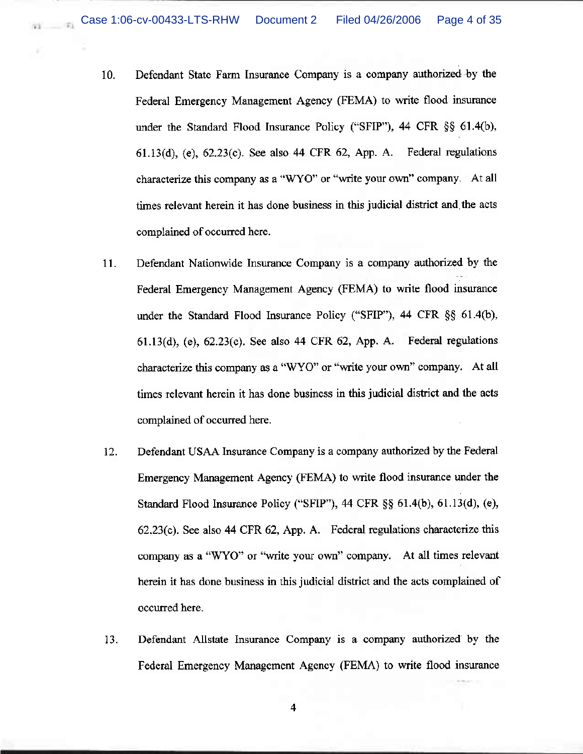×

- $10.$ Defendant State Farm Insurance Company is a company authorized by the Federal Emergency Management Agency (FEMA) to write flood insurance under the Standard Flood Insurance Policy ("SFIP"), 44 CFR  $\S$ § 61.4(b),  $61.13(d)$ , (e),  $62.23(c)$ . See also 44 CFR  $62$ , App. A. Federal regulations characterize this company as a "WYO" or "write your own" company. At all times relevant herein it has done business in this judicial district and the acts complained of occurred here.
- Defendant Nationwide Insurance Company is a company authorized by the 11. Federal Emergency Management Agency (FEMA) to write flood insurance under the Standard Flood Insurance Policy ("SFIP"), 44 CFR §§ 61.4(b),  $61.13(d)$ , (e),  $62.23(c)$ . See also 44 CFR  $62$ , App. A. Federal regulations characterize this company as a "WYO" or "write your own" company. At all times relevant herein it has done business in this judicial district and the acts complained of occurred here.
- 12. Defendant USAA Insurance Company is a company authorized by the Federal Emergency Management Agency (FEMA) to write flood insurance under the Standard Flood Insurance Policy ("SFIP"),  $44$  CFR  $\S$ §  $61.4(b)$ ,  $61.13(d)$ ,  $(e)$ ,  $62.23(c)$ . See also 44 CFR  $62$ , App. A. Federal regulations characterize this company as a "WYO" or "write your own" company. At all times relevant herein it has done business in this judicial district and the acts complained of occurred here.
- 13. Defendant Allstate Insurance Company is a company authorized by the Federal Emergency Management Agency (FEMA) to write flood insurance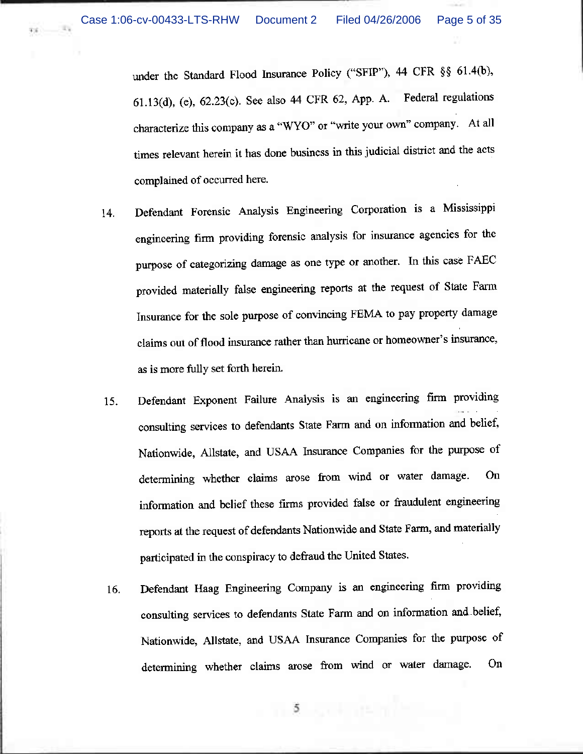$\sim$   $\approx$ 

33

under the Standard Flood Insurance Policy ("SFIP"), 44 CFR §§ 61.4(b), 61.13(d), (e), 62.23(c). See also 44 CFR 62, App. A. Federal regulations characterize this company as a "WYO" or "write your own" company. At all times relevant herein it has done business in this judicial district and the acts complained of occurred here.

- Defendant Forensic Analysis Engineering Corporation is a Mississippi 14. engineering firm providing forensic analysis for insurance agencies for the purpose of categorizing damage as one type or another. In this case FAEC provided materially false engineering reports at the request of State Farm Insurance for the sole purpose of convincing FEMA to pay property damage claims out of flood insurance rather than hurricane or homeowner's insurance, as is more fully set forth herein.
- Defendant Exponent Failure Analysis is an engineering firm providing 15. consulting services to defendants State Farm and on information and belief, Nationwide, Allstate, and USAA Insurance Companies for the purpose of determining whether claims arose from wind or water damage. On information and belief these firms provided false or fraudulent engineering reports at the request of defendants Nationwide and State Farm, and materially participated in the conspiracy to defraud the United States.
- Defendant Haag Engineering Company is an engineering firm providing 16. consulting services to defendants State Farm and on information and belief, Nationwide, Allstate, and USAA Insurance Companies for the purpose of determining whether claims arose from wind or water damage. On

 $5 - 12$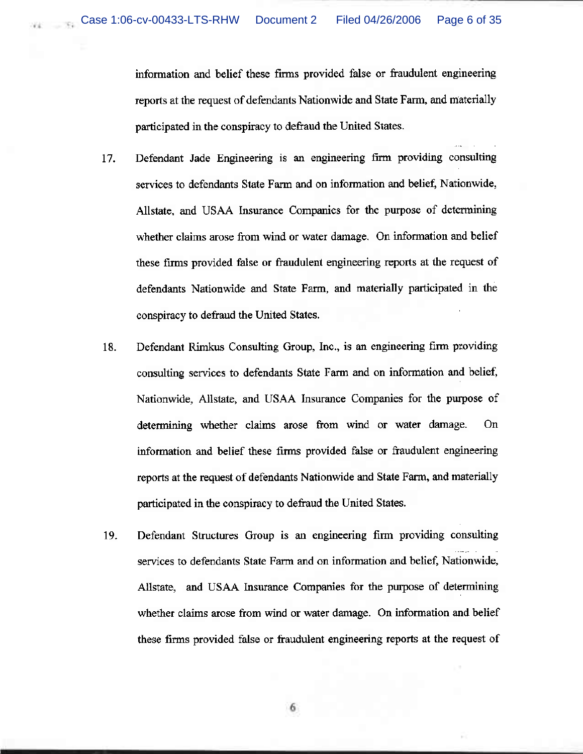information and belief these firms provided false or fraudulent engineering reports at the request of defendants Nationwide and State Farm, and materially participated in the conspiracy to defraud the United States.

- Defendant Jade Engineering is an engineering firm providing consulting 17. services to defendants State Farm and on information and belief, Nationwide, Allstate, and USAA Insurance Companies for the purpose of determining whether claims arose from wind or water damage. On information and belief these firms provided false or fraudulent engineering reports at the request of defendants Nationwide and State Farm, and materially participated in the conspiracy to defraud the United States.
- Defendant Rimkus Consulting Group, Inc., is an engineering firm providing 18. consulting services to defendants State Farm and on information and belief, Nationwide, Allstate, and USAA Insurance Companies for the purpose of determining whether claims arose from wind or water damage. On information and belief these firms provided false or fraudulent engineering reports at the request of defendants Nationwide and State Farm, and materially participated in the conspiracy to defraud the United States.
- Defendant Structures Group is an engineering firm providing consulting 19. services to defendants State Farm and on information and belief, Nationwide, Allstate, and USAA Insurance Companies for the purpose of determining whether claims arose from wind or water damage. On information and belief these firms provided false or fraudulent engineering reports at the request of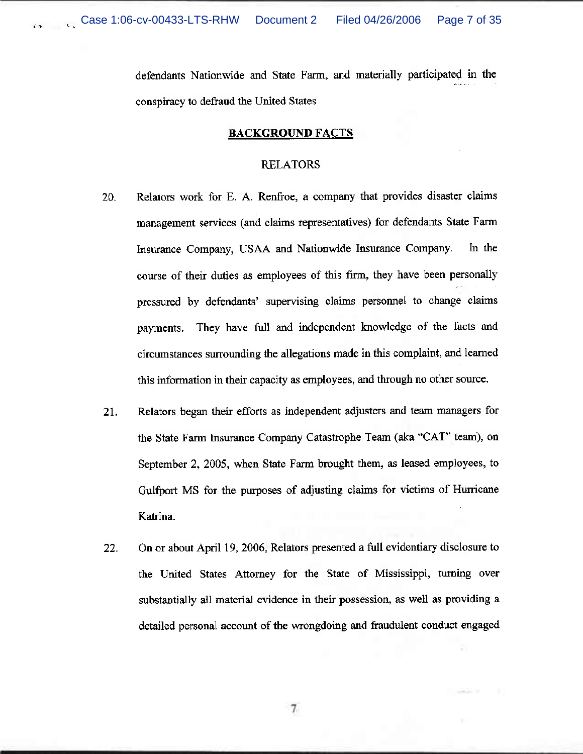$\epsilon >$ 

defendants Nationwide and State Farm, and materially participated in the conspiracy to defraud the United States

## **BACKGROUND FACTS**

### **RELATORS**

- Relators work for E. A. Renfroe, a company that provides disaster claims 20. management services (and claims representatives) for defendants State Farm Insurance Company, USAA and Nationwide Insurance Company. In the course of their duties as employees of this firm, they have been personally pressured by defendants' supervising claims personnel to change claims They have full and independent knowledge of the facts and payments. circumstances surrounding the allegations made in this complaint, and learned this information in their capacity as employees, and through no other source.
- $21.$ Relators began their efforts as independent adjusters and team managers for the State Farm Insurance Company Catastrophe Team (aka "CAT" team), on September 2, 2005, when State Farm brought them, as leased employees, to Gulfport MS for the purposes of adjusting claims for victims of Hurricane Katrina.
- On or about April 19, 2006, Relators presented a full evidentiary disclosure to  $22.$ the United States Attorney for the State of Mississippi, turning over substantially all material evidence in their possession, as well as providing a detailed personal account of the wrongdoing and fraudulent conduct engaged

 $7.$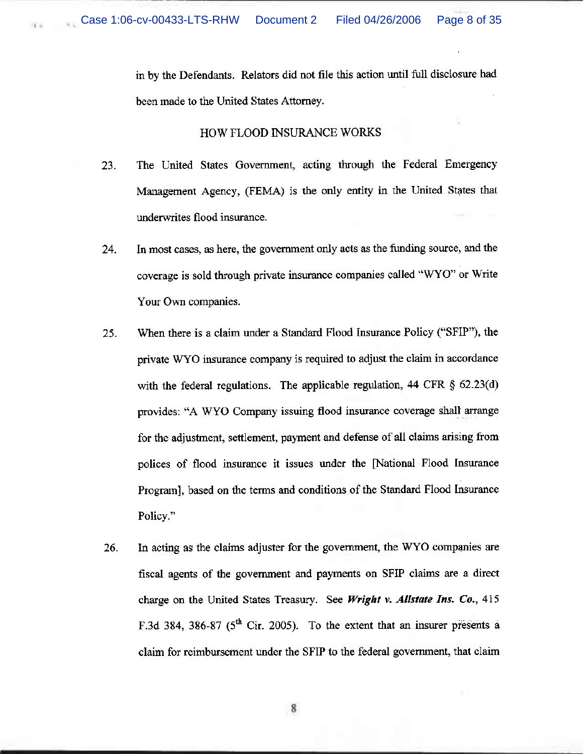Page 8 of 35

in by the Defendants. Relators did not file this action until full disclosure had been made to the United States Attorney.

# HOW FLOOD INSURANCE WORKS

- 23. The United States Government, acting through the Federal Emergency Management Agency, (FEMA) is the only entity in the United States that underwrites flood insurance.
- In most cases, as here, the government only acts as the funding source, and the 24. coverage is sold through private insurance companies called "WYO" or Write Your Own companies.
- 25. When there is a claim under a Standard Flood Insurance Policy ("SFIP"), the private WYO insurance company is required to adjust the claim in accordance with the federal regulations. The applicable regulation, 44 CFR  $\S$  62.23(d) provides: "A WYO Company issuing flood insurance coverage shall arrange for the adjustment, settlement, payment and defense of all claims arising from polices of flood insurance it issues under the [National Flood Insurance Program], based on the terms and conditions of the Standard Flood Insurance Policy."
- 26. In acting as the claims adjuster for the government, the WYO companies are fiscal agents of the government and payments on SFIP claims are a direct charge on the United States Treasury. See Wright v. Allstate Ins. Co., 415 F.3d 384, 386-87 ( $5<sup>th</sup>$  Cir. 2005). To the extent that an insurer presents a claim for reimbursement under the SFIP to the federal government, that claim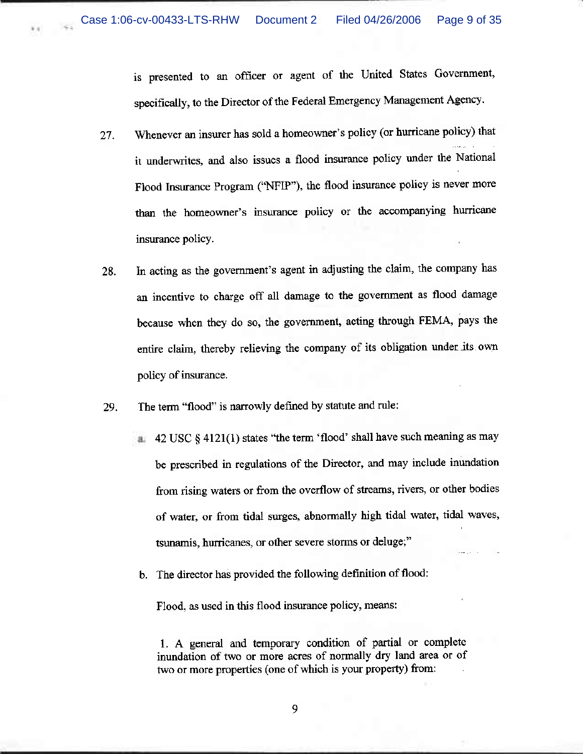4.4

is presented to an officer or agent of the United States Government, specifically, to the Director of the Federal Emergency Management Agency.

- Whenever an insurer has sold a homeowner's policy (or hurricane policy) that 27. it underwrites, and also issues a flood insurance policy under the National Flood Insurance Program ("NFIP"), the flood insurance policy is never more than the homeowner's insurance policy or the accompanying hurricane insurance policy.
- In acting as the government's agent in adjusting the claim, the company has 28. an incentive to charge off all damage to the government as flood damage because when they do so, the government, acting through FEMA, pays the entire claim, thereby relieving the company of its obligation under its own policy of insurance.
- The term "flood" is narrowly defined by statute and rule: 29.
	- $\frac{1}{2}$  42 USC § 4121(1) states "the term 'flood' shall have such meaning as may be prescribed in regulations of the Director, and may include inundation from rising waters or from the overflow of streams, rivers, or other bodies of water, or from tidal surges, abnormally high tidal water, tidal waves, tsunamis, hurricanes, or other severe storms or deluge;"
	- b. The director has provided the following definition of flood:

Flood, as used in this flood insurance policy, means:

1. A general and temporary condition of partial or complete inundation of two or more acres of normally dry land area or of two or more properties (one of which is your property) from: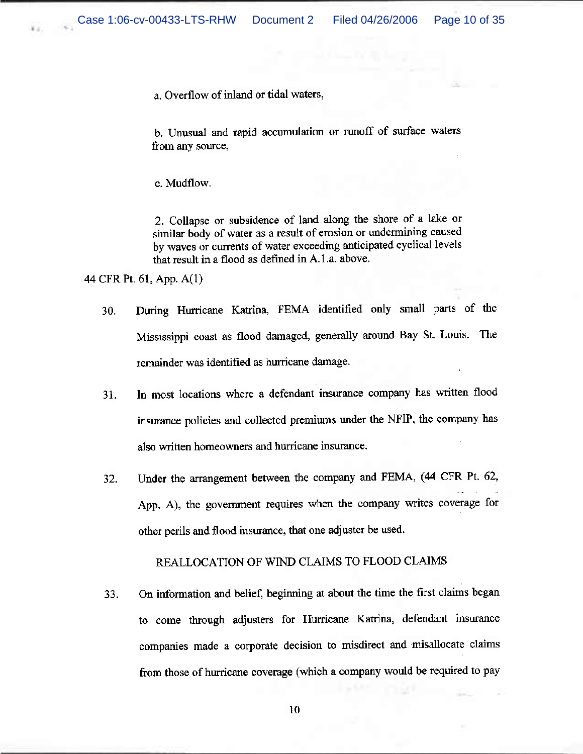a. Overflow of inland or tidal waters,

b. Unusual and rapid accumulation or runoff of surface waters from any source,

c. Mudflow.

2. Collapse or subsidence of land along the shore of a lake or similar body of water as a result of erosion or undermining caused by waves or currents of water exceeding anticipated cyclical levels that result in a flood as defined in A.1.a. above.

44 CFR Pt. 61, App. A(1)

- During Hurricane Katrina, FEMA identified only small parts of the 30. Mississippi coast as flood damaged, generally around Bay St. Louis. The remainder was identified as hurricane damage.
- In most locations where a defendant insurance company has written flood 31. insurance policies and collected premiums under the NFIP, the company has also written homeowners and hurricane insurance.
- Under the arrangement between the company and FEMA, (44 CFR Pt. 62, 32. App. A), the government requires when the company writes coverage for other perils and flood insurance, that one adjuster be used.

# REALLOCATION OF WIND CLAIMS TO FLOOD CLAIMS

On information and belief, beginning at about the time the first claims began 33. to come through adjusters for Hurricane Katrina, defendant insurance companies made a corporate decision to misdirect and misallocate claims from those of hurricane coverage (which a company would be required to pay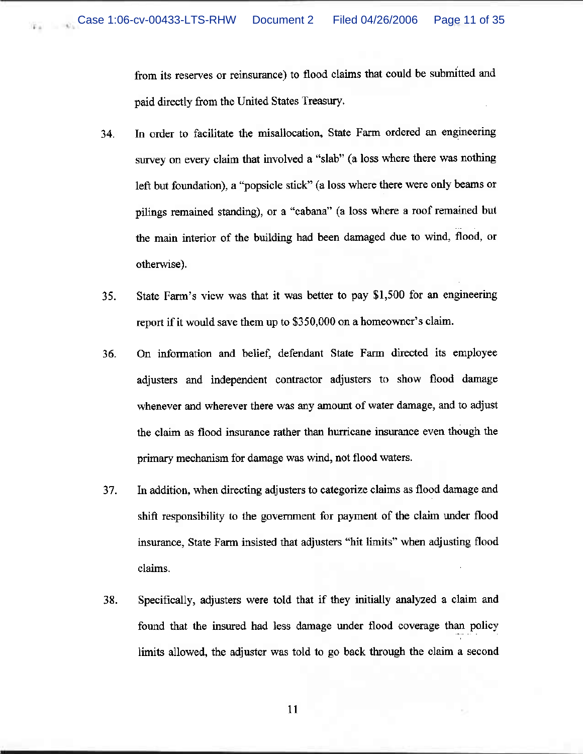from its reserves or reinsurance) to flood claims that could be submitted and paid directly from the United States Treasury.

- In order to facilitate the misallocation, State Farm ordered an engineering 34. survey on every claim that involved a "slab" (a loss where there was nothing left but foundation), a "popsicle stick" (a loss where there were only beams or pilings remained standing), or a "cabana" (a loss where a roof remained but the main interior of the building had been damaged due to wind, flood, or otherwise).
- State Farm's view was that it was better to pay \$1,500 for an engineering 35. report if it would save them up to \$350,000 on a homeowner's claim.
- On information and belief, defendant State Farm directed its employee 36. adjusters and independent contractor adjusters to show flood damage whenever and wherever there was any amount of water damage, and to adjust the claim as flood insurance rather than hurricane insurance even though the primary mechanism for damage was wind, not flood waters.
- 37. In addition, when directing adjusters to categorize claims as flood damage and shift responsibility to the government for payment of the claim under flood insurance, State Farm insisted that adjusters "hit limits" when adjusting flood claims.
- Specifically, adjusters were told that if they initially analyzed a claim and 38. found that the insured had less damage under flood coverage than policy limits allowed, the adjuster was told to go back through the claim a second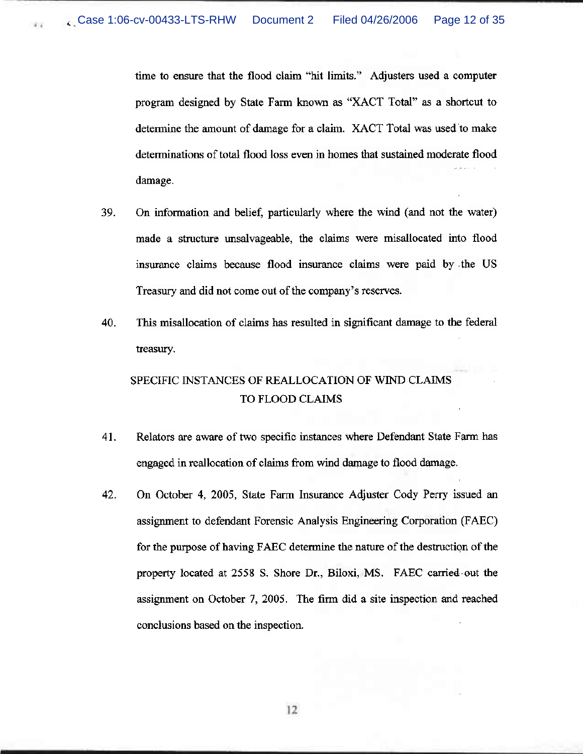$811$ 

time to ensure that the flood claim "hit limits." Adjusters used a computer program designed by State Farm known as "XACT Total" as a shortcut to determine the amount of damage for a claim. XACT Total was used to make determinations of total flood loss even in homes that sustained moderate flood damage.

- 39. On information and belief, particularly where the wind (and not the water) made a structure unsalvageable, the claims were misallocated into flood insurance claims because flood insurance claims were paid by the US Treasury and did not come out of the company's reserves.
- 40. This misallocation of claims has resulted in significant damage to the federal treasury.

# SPECIFIC INSTANCES OF REALLOCATION OF WIND CLAIMS TO FLOOD CLAIMS

- 41. Relators are aware of two specific instances where Defendant State Farm has engaged in reallocation of claims from wind damage to flood damage.
- 42. On October 4, 2005, State Farm Insurance Adjuster Cody Perry issued an assignment to defendant Forensic Analysis Engineering Corporation (FAEC) for the purpose of having FAEC determine the nature of the destruction of the property located at 2558 S. Shore Dr., Biloxi, MS. FAEC carried out the assignment on October 7, 2005. The firm did a site inspection and reached conclusions based on the inspection.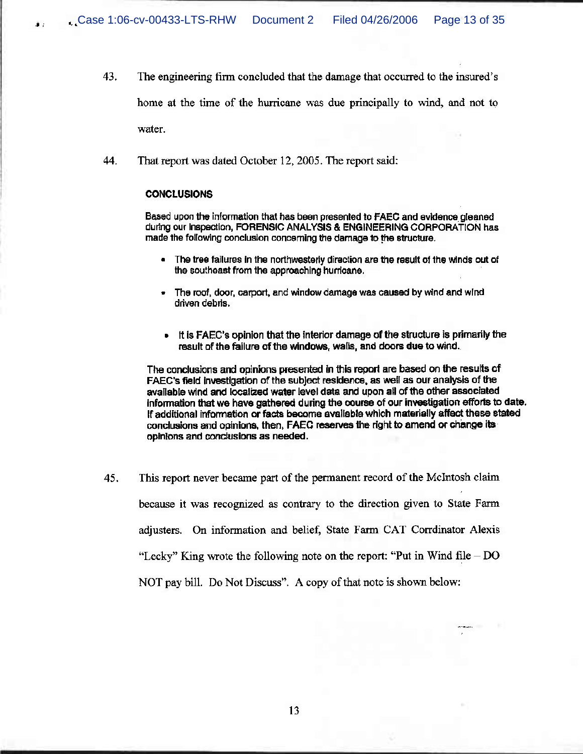- 43. The engineering firm concluded that the damage that occurred to the insured's home at the time of the hurricane was due principally to wind, and not to water.
- 44. That report was dated October 12, 2005. The report said:

### **CONCLUSIONS**

Based upon the information that has been presented to FAEC and evidence gleaned during our inspection, FORENSIC ANALYSIS & ENGINEERING CORPORATION has made the following conclusion concerning the damage to the structure.

- The tree failures in the northwesteriv direction are the result of the winds out of the southeast from the approaching hurricane.
- The roof, door, carport, and window damage was caused by wind and wind driven debris.
- It is FAEC's opinion that the interior damage of the structure is primarily the result of the failure of the windows, walls, and doors due to wind.

The conclusions and opinions presented in this report are based on the results of FAEC's field investigation of the subject residence, as well as our analysis of the available wind and localized water level data and upon all of the other associated information that we have gathered during the course of our investigation efforts to date. If additional information or facts become available which materially affect these stated conclusions and opinions, then, FAEC reserves the right to amend or change its opinions and conclusions as needed.

45. This report never became part of the permanent record of the McIntosh claim because it was recognized as contrary to the direction given to State Farm adjusters. On information and belief, State Farm CAT Corrdinator Alexis "Lecky" King wrote the following note on the report: "Put in Wind file  $-$  DO NOT pay bill. Do Not Discuss". A copy of that note is shown below: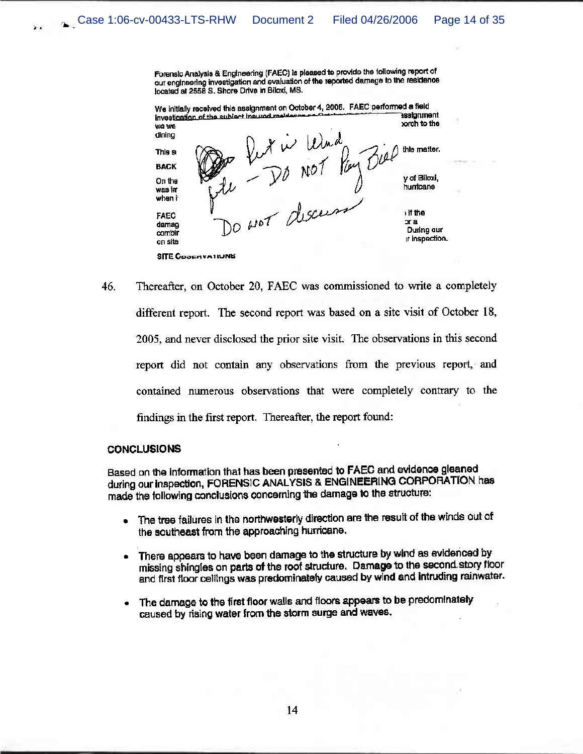Forensic Analysis & Engineering (FAEC) is pleased to provide the following report of our engineering investigation and evaluation of the reported damage to the residence located at 2558 S. Shore Drive in Biloxi, MS.



46. Thereafter, on October 20, FAEC was commissioned to write a completely different report. The second report was based on a site visit of October 18, 2005, and never disclosed the prior site visit. The observations in this second report did not contain any observations from the previous report, and contained numerous observations that were completely contrary to the findings in the first report. Thereafter, the report found:

### **CONCLUSIONS**

 $\bar{\chi}$  ,  $\bar{\chi}$ 

Based on the information that has been presented to FAEC and evidence gleaned during our inspection, FORENSIC ANALYSIS & ENGINEERING CORPORATION has made the following conclusions concerning the damage to the structure:

- The tree failures in the northwesterly direction are the result of the winds out of the southeast from the approaching hurricane.
- There appears to have been damage to the structure by wind as evidenced by missing shingles on parts of the roof structure. Damage to the second story floor and first floor ceilings was predominately caused by wind and intruding rainwater.
- The damage to the first floor walls and floors appears to be predominately caused by rising water from the storm surge and waves.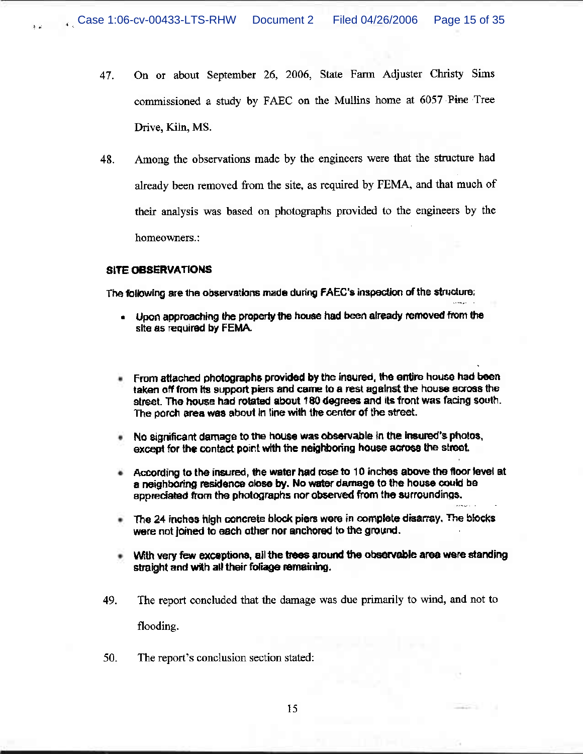- On or about September 26, 2006, State Farm Adjuster Christy Sims 47. commissioned a study by FAEC on the Mullins home at 6057 Pine Tree Drive, Kiln, MS.
- Among the observations made by the engineers were that the structure had 48. already been removed from the site, as required by FEMA, and that much of their analysis was based on photographs provided to the engineers by the homeowners.:

## **SITE OBSERVATIONS**

The following are the observations made during FAEC's inspection of the structure:

- . Upon approaching the property the house had been already removed from the site as required by FEMA.
- From attached photographs provided by the insured, the entire house had been taken off from its support piers and came to a rest against the house across the street. The house had rotated about 180 degrees and its front was facing south. The porch area was about in line with the center of the street.
- No significant damage to the house was observable in the insured's photos, except for the contact point with the neighboring house across the street.
- According to the insured, the water had rose to 10 inches above the floor level at a neighboring residence close by. No water damage to the house could be appreciated from the photographs nor observed from the surroundings.
- The 24 inches high concrete block piers were in complete disarray. The blocks were not joined to each other nor anchored to the ground.
- With yery few exceptions, all the trees around the observable area were standing straight and with all their foliage remaining.
- 49. The report concluded that the damage was due primarily to wind, and not to flooding.
- 50. The report's conclusion section stated: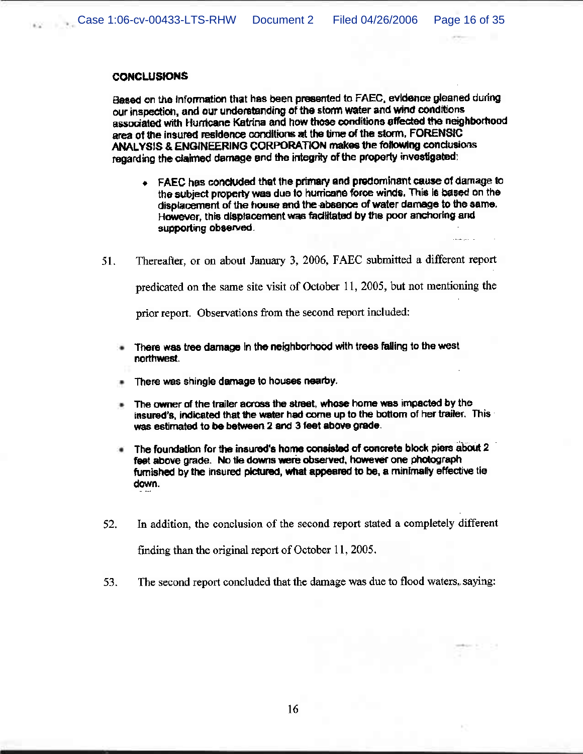## **CONCLUSIONS**

Based on the information that has been presented to FAEC, evidence gleaned during our inspection, and our understanding of the storm water and wind conditions associated with Hurricane Katrina and how those conditions affected the neighborhood area of the insured residence conditions at the time of the storm. FORENSIC ANALYSIS & ENGINEERING CORPORATION makes the following conclusions regarding the claimed damage and the integrity of the property investigated:

- FAEC has concluded that the primary and predominant cause of damage to the subject property was due to hurricane force winds. This is based on the displacement of the house and the absence of water damage to the same. However, this displacement was facilitated by the poor anchoring and supporting observed.
- Thereafter, or on about January 3, 2006, FAEC submitted a different report 51.

predicated on the same site visit of October 11, 2005, but not mentioning the

prior report. Observations from the second report included:

- There was tree damage in the neighborhood with trees failing to the west ٠ northwest.
- There was shingle damage to houses nearby.
- The owner of the trailer across the street, whose home was impacted by the insured's, indicated that the water had come up to the bottom of her trailer. This was estimated to be between 2 and 3 feet above grade.
- The foundation for the insured's home consisted of concrete block piers about 2 feet above grade. No tie downs were observed, however one photograph furnished by the insured pictured, what appeared to be, a minimally effective tie down.
- 52. In addition, the conclusion of the second report stated a completely different finding than the original report of October 11, 2005.
- The second report concluded that the damage was due to flood waters, saying: 53.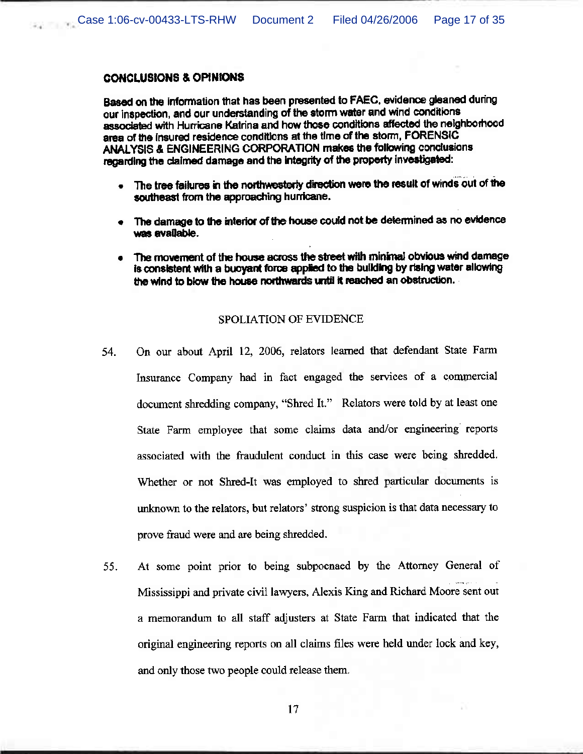## **CONCLUSIONS & OPINIONS**

Based on the information that has been presented to FAEC, evidence gleaned during our inspection, and our understanding of the storm water and wind conditions associated with Hurricane Katrina and how those conditions affected the neighborhood area of the insured residence conditions at the time of the storm, FORENSIC ANALYSIS & ENGINEERING CORPORATION makes the following conclusions regarding the claimed damage and the integrity of the property investigated:

- . The tree failures in the northwesterly direction were the result of winds out of the southeast from the approaching hurricane.
- The damage to the interior of the house could not be determined as no evidence was available.
- The movement of the house across the street with minimal obvious wind damage is consistent with a buoyant force applied to the building by rising water allowing the wind to blow the house northwards until it reached an obstruction.

## **SPOLIATION OF EVIDENCE**

- On our about April 12, 2006, relators learned that defendant State Farm 54. Insurance Company had in fact engaged the services of a commercial document shredding company, "Shred It." Relators were told by at least one State Farm employee that some claims data and/or engineering reports associated with the fraudulent conduct in this case were being shredded. Whether or not Shred-It was employed to shred particular documents is unknown to the relators, but relators' strong suspicion is that data necessary to prove fraud were and are being shredded.
- At some point prior to being subpoenaed by the Attorney General of 55. Mississippi and private civil lawyers, Alexis King and Richard Moore sent out a memorandum to all staff adjusters at State Farm that indicated that the original engineering reports on all claims files were held under lock and key, and only those two people could release them.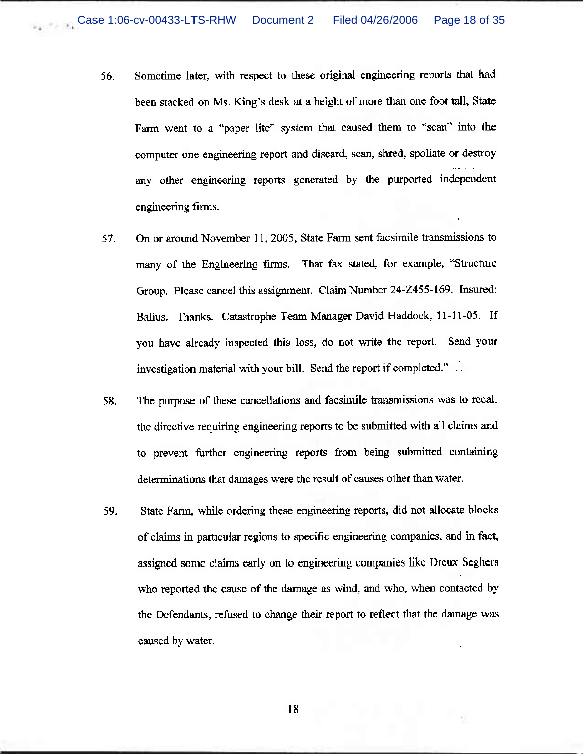- Sometime later, with respect to these original engineering reports that had 56. been stacked on Ms. King's desk at a height of more than one foot tall, State Farm went to a "paper lite" system that caused them to "scan" into the computer one engineering report and discard, scan, shred, spoliate or destroy any other engineering reports generated by the purported independent engineering firms.
- On or around November 11, 2005, State Farm sent facsimile transmissions to 57. many of the Engineering firms. That fax stated, for example, "Structure Group. Please cancel this assignment. Claim Number 24-Z455-169. Insured: Balius. Thanks. Catastrophe Team Manager David Haddock, 11-11-05. If you have already inspected this loss, do not write the report. Send your investigation material with your bill. Send the report if completed."
- The purpose of these cancellations and facsimile transmissions was to recall 58. the directive requiring engineering reports to be submitted with all claims and to prevent further engineering reports from being submitted containing determinations that damages were the result of causes other than water.
- State Farm, while ordering these engineering reports, did not allocate blocks 59. of claims in particular regions to specific engineering companies, and in fact, assigned some claims early on to engineering companies like Dreux Seghers who reported the cause of the damage as wind, and who, when contacted by the Defendants, refused to change their report to reflect that the damage was caused by water.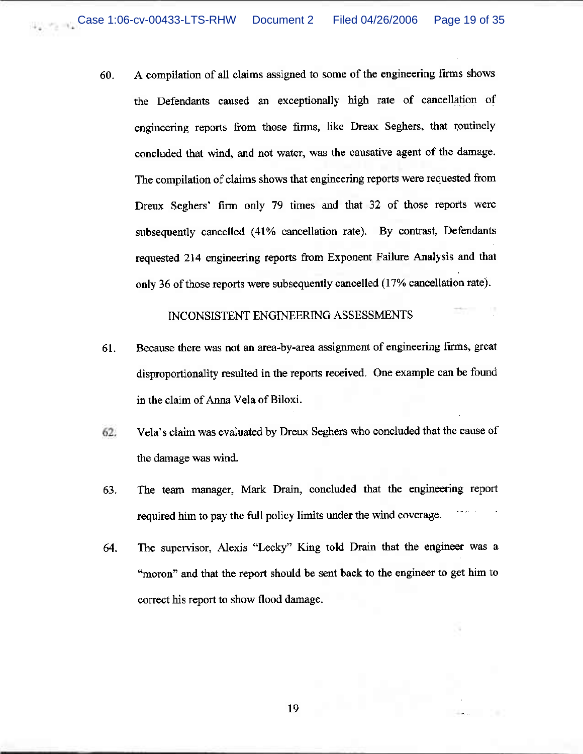A compilation of all claims assigned to some of the engineering firms shows 60. the Defendants caused an exceptionally high rate of cancellation of engineering reports from those firms, like Dreax Seghers, that routinely concluded that wind, and not water, was the causative agent of the damage. The compilation of claims shows that engineering reports were requested from Dreux Seghers' firm only 79 times and that 32 of those reports were subsequently cancelled (41% cancellation rate). By contrast, Defendants requested 214 engineering reports from Exponent Failure Analysis and that only 36 of those reports were subsequently cancelled (17% cancellation rate).

## INCONSISTENT ENGINEERING ASSESSMENTS

- Because there was not an area-by-area assignment of engineering firms, great 61. disproportionality resulted in the reports received. One example can be found in the claim of Anna Vela of Biloxi.
- Vela's claim was evaluated by Dreux Seghers who concluded that the cause of 62. the damage was wind.
- The team manager, Mark Drain, concluded that the engineering report 63. required him to pay the full policy limits under the wind coverage.
- The supervisor, Alexis "Lecky" King told Drain that the engineer was a 64. "moron" and that the report should be sent back to the engineer to get him to correct his report to show flood damage.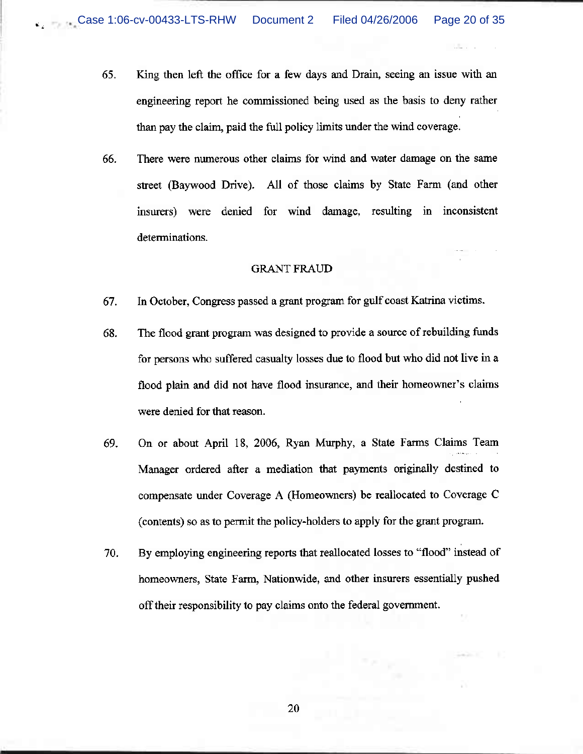- 65. King then left the office for a few days and Drain, seeing an issue with an engineering report he commissioned being used as the basis to deny rather than pay the claim, paid the full policy limits under the wind coverage.
- 66. There were numerous other claims for wind and water damage on the same street (Baywood Drive). All of those claims by State Farm (and other insurers) were denied for wind damage, resulting in inconsistent determinations.

# **GRANT FRAUD**

- In October, Congress passed a grant program for gulf coast Katrina victims. 67.
- 68. The flood grant program was designed to provide a source of rebuilding funds for persons who suffered casualty losses due to flood but who did not live in a flood plain and did not have flood insurance, and their homeowner's claims were denied for that reason.
- 69. On or about April 18, 2006, Ryan Murphy, a State Farms Claims Team Manager ordered after a mediation that payments originally destined to compensate under Coverage A (Homeowners) be reallocated to Coverage C (contents) so as to permit the policy-holders to apply for the grant program.
- By employing engineering reports that reallocated losses to "flood" instead of 70. homeowners, State Farm, Nationwide, and other insurers essentially pushed off their responsibility to pay claims onto the federal government.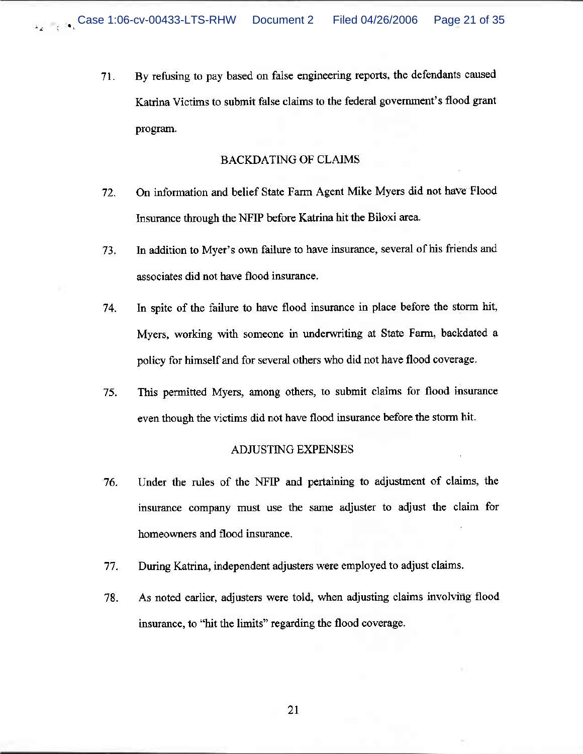By refusing to pay based on false engineering reports, the defendants caused 71. Katrina Victims to submit false claims to the federal government's flood grant program.

## **BACKDATING OF CLAIMS**

- On information and belief State Farm Agent Mike Myers did not have Flood 72. Insurance through the NFIP before Katrina hit the Biloxi area.
- In addition to Myer's own failure to have insurance, several of his friends and 73. associates did not have flood insurance.
- In spite of the failure to have flood insurance in place before the storm hit, 74. Myers, working with someone in underwriting at State Farm, backdated a policy for himself and for several others who did not have flood coverage.
- This permitted Myers, among others, to submit claims for flood insurance 75. even though the victims did not have flood insurance before the storm hit.

### ADJUSTING EXPENSES

- 76. Under the rules of the NFIP and pertaining to adjustment of claims, the insurance company must use the same adjuster to adjust the claim for homeowners and flood insurance.
- During Katrina, independent adjusters were employed to adjust claims. 77.
- 78. As noted earlier, adjusters were told, when adjusting claims involving flood insurance, to "hit the limits" regarding the flood coverage.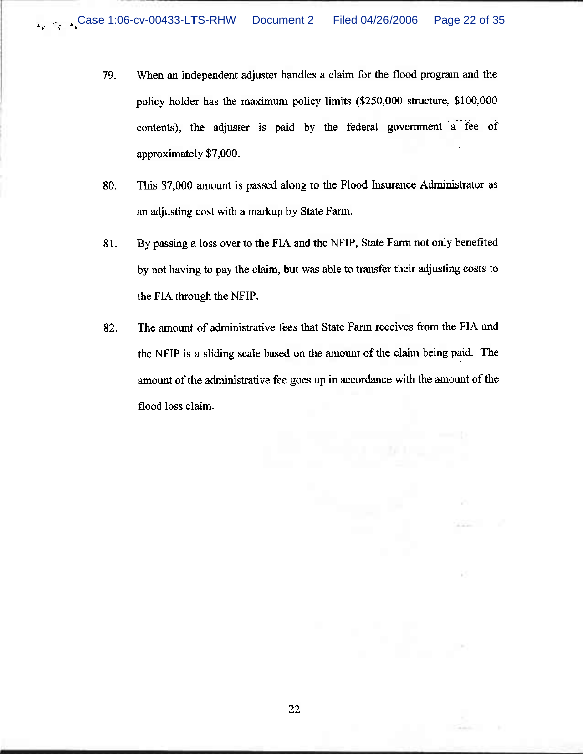- 79. When an independent adjuster handles a claim for the flood program and the policy holder has the maximum policy limits (\$250,000 structure, \$100,000 contents), the adjuster is paid by the federal government a fee of approximately \$7,000.
- This \$7,000 amount is passed along to the Flood Insurance Administrator as 80. an adjusting cost with a markup by State Farm.
- 81. By passing a loss over to the FIA and the NFIP, State Farm not only benefited by not having to pay the claim, but was able to transfer their adjusting costs to the FIA through the NFIP.
- The amount of administrative fees that State Farm receives from the FIA and 82. the NFIP is a sliding scale based on the amount of the claim being paid. The amount of the administrative fee goes up in accordance with the amount of the flood loss claim.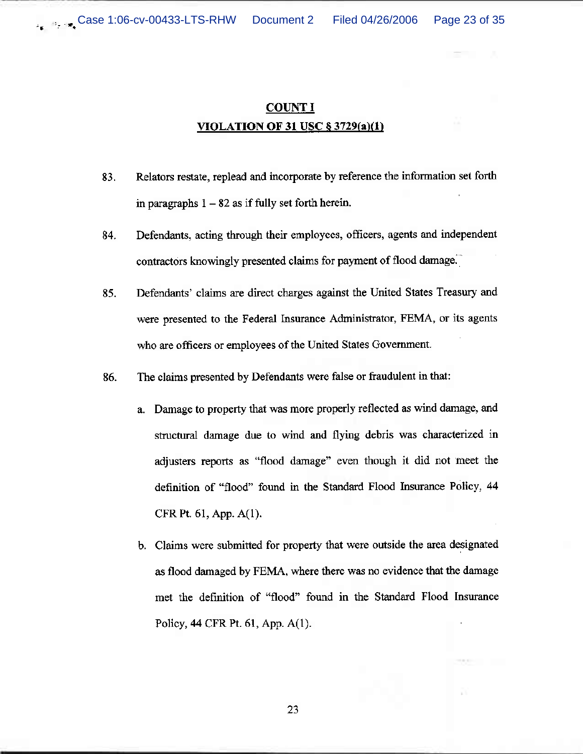# **COUNT I** VIOLATION OF 31 USC  $\S 3729(a)(1)$

- Relators restate, replead and incorporate by reference the information set forth 83. in paragraphs  $1 - 82$  as if fully set forth herein.
- Defendants, acting through their employees, officers, agents and independent 84. contractors knowingly presented claims for payment of flood damage.
- Defendants' claims are direct charges against the United States Treasury and 85. were presented to the Federal Insurance Administrator, FEMA, or its agents who are officers or employees of the United States Government.
- 86. The claims presented by Defendants were false or fraudulent in that:
	- a. Damage to property that was more properly reflected as wind damage, and structural damage due to wind and flying debris was characterized in adjusters reports as "flood damage" even though it did not meet the definition of "flood" found in the Standard Flood Insurance Policy, 44 CFR Pt. 61, App. A(1).
	- b. Claims were submitted for property that were outside the area designated as flood damaged by FEMA, where there was no evidence that the damage met the definition of "flood" found in the Standard Flood Insurance Policy, 44 CFR Pt. 61, App. A(1).

23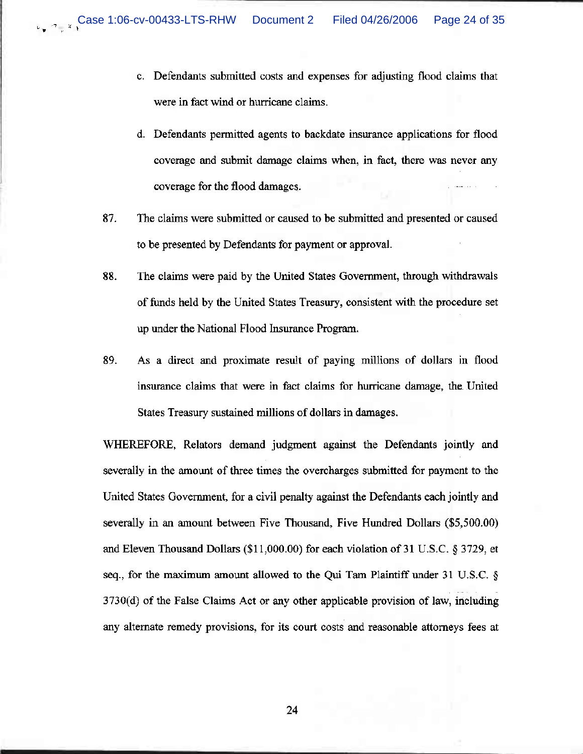- c. Defendants submitted costs and expenses for adjusting flood claims that were in fact wind or hurricane claims.
- d. Defendants permitted agents to backdate insurance applications for flood coverage and submit damage claims when, in fact, there was never any coverage for the flood damages.
- The claims were submitted or caused to be submitted and presented or caused 87. to be presented by Defendants for payment or approval.
- 88. The claims were paid by the United States Government, through withdrawals of funds held by the United States Treasury, consistent with the procedure set up under the National Flood Insurance Program.
- 89. As a direct and proximate result of paying millions of dollars in flood insurance claims that were in fact claims for hurricane damage, the United States Treasury sustained millions of dollars in damages.

WHEREFORE, Relators demand judgment against the Defendants jointly and severally in the amount of three times the overcharges submitted for payment to the United States Government, for a civil penalty against the Defendants each jointly and severally in an amount between Five Thousand, Five Hundred Dollars (\$5,500.00) and Eleven Thousand Dollars (\$11,000.00) for each violation of 31 U.S.C. § 3729, et seq., for the maximum amount allowed to the Qui Tam Plaintiff under 31 U.S.C.  $\S$ 3730(d) of the False Claims Act or any other applicable provision of law, including any alternate remedy provisions, for its court costs and reasonable attorneys fees at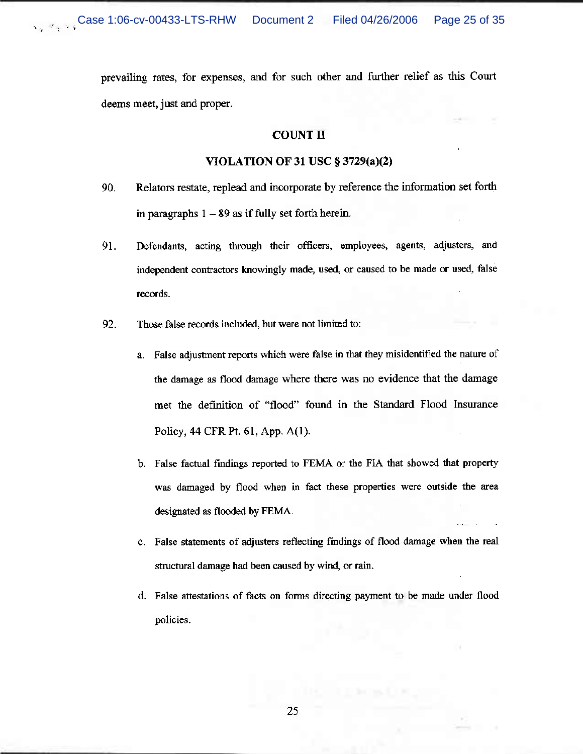prevailing rates, for expenses, and for such other and further relief as this Court deems meet, just and proper.

## **COUNT II**

#### **VIOLATION OF 31 USC § 3729(a)(2)**

- Relators restate, replead and incorporate by reference the information set forth 90. in paragraphs  $1 - 89$  as if fully set forth herein.
- Defendants, acting through their officers, employees, agents, adjusters, and 91. independent contractors knowingly made, used, or caused to be made or used, false records.
- 92. Those false records included, but were not limited to:
	- a. False adjustment reports which were false in that they misidentified the nature of the damage as flood damage where there was no evidence that the damage met the definition of "flood" found in the Standard Flood Insurance Policy, 44 CFR Pt. 61, App. A(1).
	- b. False factual findings reported to FEMA or the FIA that showed that property was damaged by flood when in fact these properties were outside the area designated as flooded by FEMA.
	- c. False statements of adjusters reflecting findings of flood damage when the real structural damage had been caused by wind, or rain.
	- d. False attestations of facts on forms directing payment to be made under flood policies.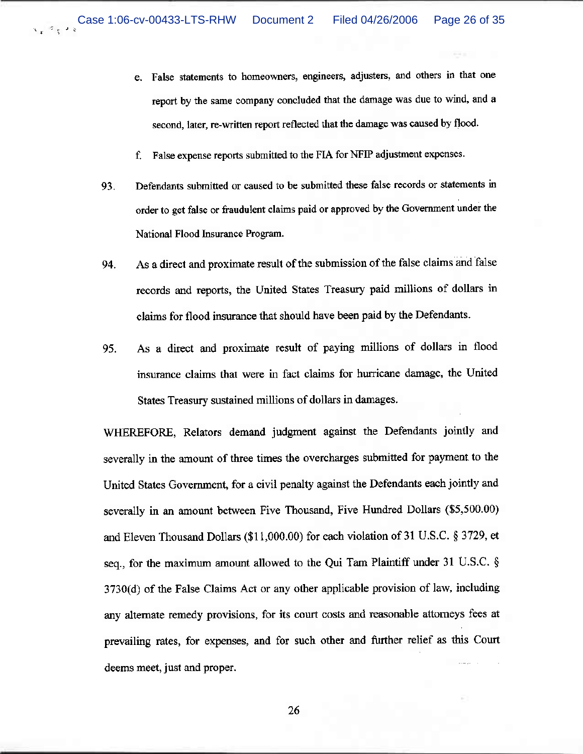- e. False statements to homeowners, engineers, adjusters, and others in that one report by the same company concluded that the damage was due to wind, and a second, later, re-written report reflected that the damage was caused by flood.
- f. False expense reports submitted to the FIA for NFIP adjustment expenses.
- Defendants submitted or caused to be submitted these false records or statements in 93. order to get false or fraudulent claims paid or approved by the Government under the National Flood Insurance Program.
- As a direct and proximate result of the submission of the false claims and false 94. records and reports, the United States Treasury paid millions of dollars in claims for flood insurance that should have been paid by the Defendants.
- As a direct and proximate result of paying millions of dollars in flood 95. insurance claims that were in fact claims for hurricane damage, the United States Treasury sustained millions of dollars in damages.

WHEREFORE, Relators demand judgment against the Defendants jointly and severally in the amount of three times the overcharges submitted for payment to the United States Government, for a civil penalty against the Defendants each jointly and severally in an amount between Five Thousand, Five Hundred Dollars (\$5,500.00) and Eleven Thousand Dollars (\$11,000.00) for each violation of 31 U.S.C. § 3729, et seq., for the maximum amount allowed to the Qui Tam Plaintiff under 31 U.S.C. § 3730(d) of the False Claims Act or any other applicable provision of law, including any alternate remedy provisions, for its court costs and reasonable attorneys fees at prevailing rates, for expenses, and for such other and further relief as this Court deems meet, just and proper.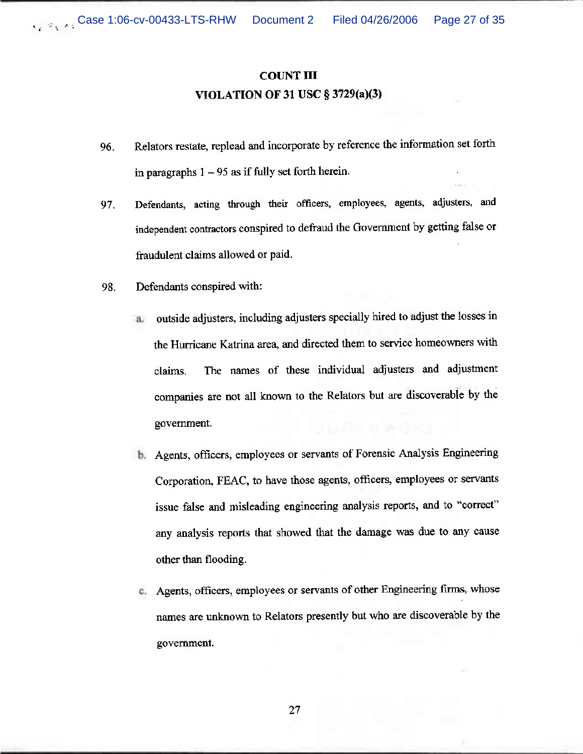# **COUNT III** VIOLATION OF 31 USC  $\S 3729(a)(3)$

- Relators restate, replead and incorporate by reference the information set forth 96. in paragraphs  $1 - 95$  as if fully set forth herein.
- Defendants, acting through their officers, employees, agents, adjusters, and 97. independent contractors conspired to defraud the Government by getting false or fraudulent claims allowed or paid.
- 98. Defendants conspired with:
	- outside adjusters, including adjusters specially hired to adjust the losses in a. the Hurricane Katrina area, and directed them to service homeowners with The names of these individual adjusters and adjustment claims. companies are not all known to the Relators but are discoverable by the government.
	- b. Agents, officers, employees or servants of Forensic Analysis Engineering Corporation, FEAC, to have those agents, officers, employees or servants issue false and misleading engineering analysis reports, and to "correct" any analysis reports that showed that the damage was due to any cause other than flooding.
	- Agents, officers, employees or servants of other Engineering firms, whose c. names are unknown to Relators presently but who are discoverable by the government.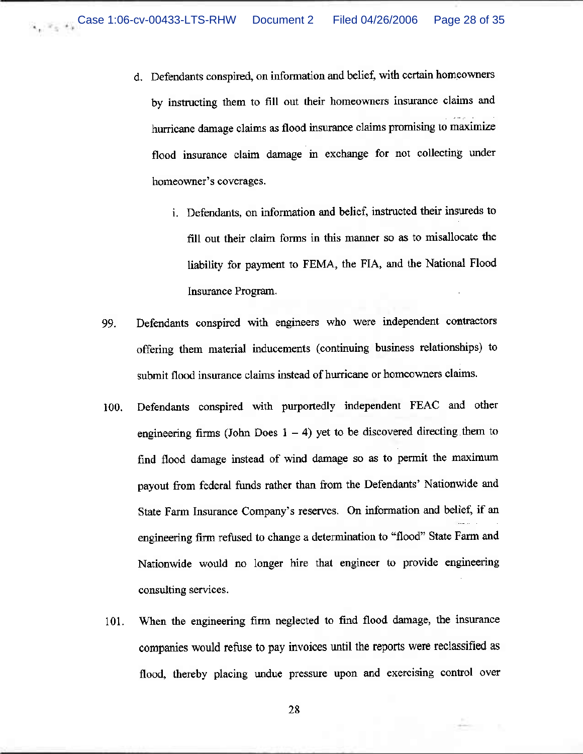- d. Defendants conspired, on information and belief, with certain homeowners by instructing them to fill out their homeowners insurance claims and hurricane damage claims as flood insurance claims promising to maximize flood insurance claim damage in exchange for not collecting under homeowner's coverages.
	- i. Defendants, on information and belief, instructed their insureds to fill out their claim forms in this manner so as to misallocate the liability for payment to FEMA, the FIA, and the National Flood Insurance Program.
- Defendants conspired with engineers who were independent contractors 99. offering them material inducements (continuing business relationships) to submit flood insurance claims instead of hurricane or homeowners claims.
- Defendants conspired with purportedly independent FEAC and other 100. engineering firms (John Does  $1 - 4$ ) yet to be discovered directing them to find flood damage instead of wind damage so as to permit the maximum payout from federal funds rather than from the Defendants' Nationwide and State Farm Insurance Company's reserves. On information and belief, if an engineering firm refused to change a determination to "flood" State Farm and Nationwide would no longer hire that engineer to provide engineering consulting services.
- When the engineering firm neglected to find flood damage, the insurance 101. companies would refuse to pay invoices until the reports were reclassified as flood, thereby placing undue pressure upon and exercising control over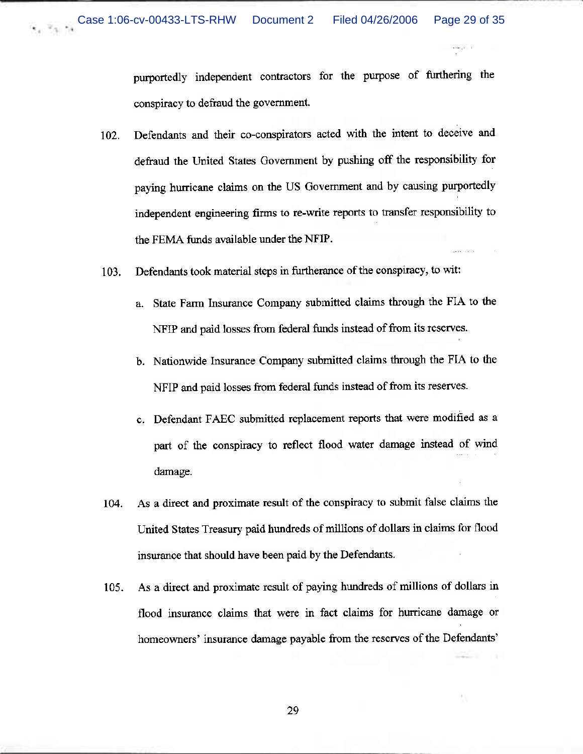purportedly independent contractors for the purpose of furthering the conspiracy to defraud the government.

- Defendants and their co-conspirators acted with the intent to deceive and 102. defraud the United States Government by pushing off the responsibility for paying hurricane claims on the US Government and by causing purportedly independent engineering firms to re-write reports to transfer responsibility to the FEMA funds available under the NFIP.
- Defendants took material steps in furtherance of the conspiracy, to wit: 103.
	- State Farm Insurance Company submitted claims through the FIA to the a. NFIP and paid losses from federal funds instead of from its reserves.
	- b. Nationwide Insurance Company submitted claims through the FIA to the NFIP and paid losses from federal funds instead of from its reserves.
	- c. Defendant FAEC submitted replacement reports that were modified as a part of the conspiracy to reflect flood water damage instead of wind damage.
- As a direct and proximate result of the conspiracy to submit false claims the 104. United States Treasury paid hundreds of millions of dollars in claims for flood insurance that should have been paid by the Defendants.
- As a direct and proximate result of paying hundreds of millions of dollars in 105. flood insurance claims that were in fact claims for hurricane damage or homeowners' insurance damage payable from the reserves of the Defendants'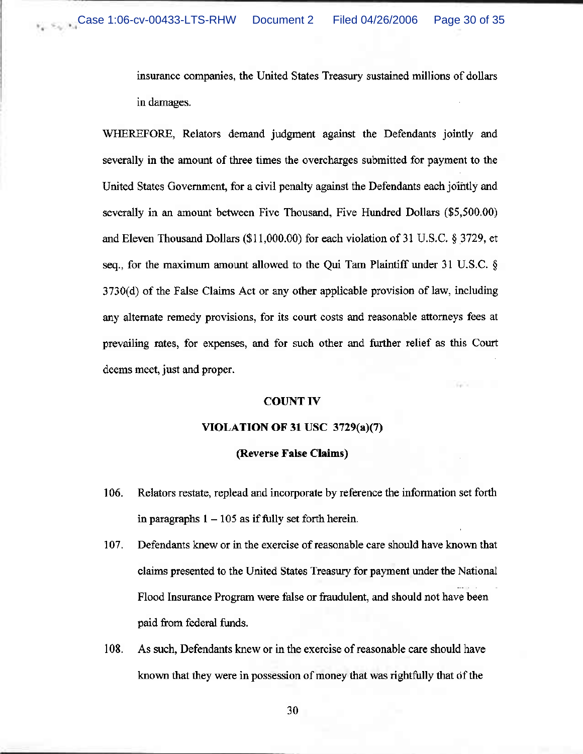insurance companies, the United States Treasury sustained millions of dollars in damages.

WHEREFORE, Relators demand judgment against the Defendants jointly and severally in the amount of three times the overcharges submitted for payment to the United States Government, for a civil penalty against the Defendants each jointly and severally in an amount between Five Thousand, Five Hundred Dollars (\$5,500.00) and Eleven Thousand Dollars (\$11,000.00) for each violation of 31 U.S.C. § 3729, et seq., for the maximum amount allowed to the Qui Tam Plaintiff under 31 U.S.C.  $\S$ 3730(d) of the False Claims Act or any other applicable provision of law, including any alternate remedy provisions, for its court costs and reasonable attorneys fees at prevailing rates, for expenses, and for such other and further relief as this Court deems meet, just and proper.

## **COUNT IV**

## VIOLATION OF 31 USC  $3729(a)(7)$

#### (Reverse False Claims)

- 106. Relators restate, replead and incorporate by reference the information set forth in paragraphs  $1 - 105$  as if fully set forth herein.
- 107. Defendants knew or in the exercise of reasonable care should have known that claims presented to the United States Treasury for payment under the National Flood Insurance Program were false or fraudulent, and should not have been paid from federal funds.
- 108. As such, Defendants knew or in the exercise of reasonable care should have known that they were in possession of money that was rightfully that of the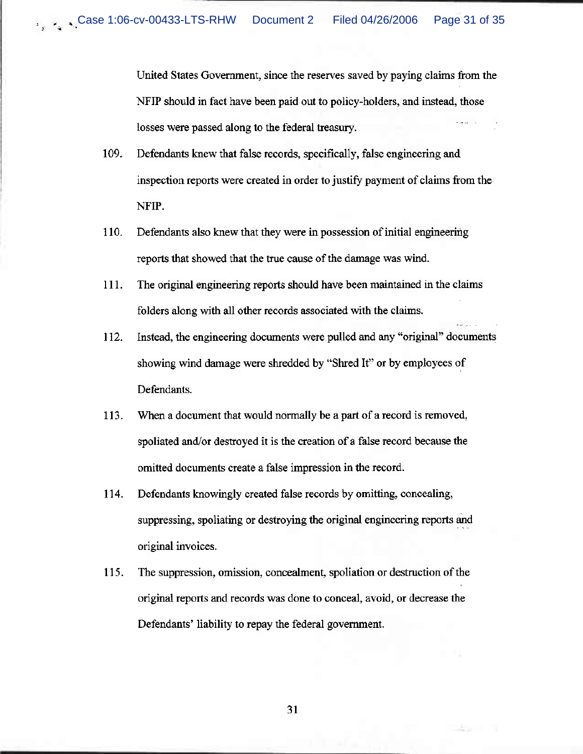United States Government, since the reserves saved by paying claims from the NFIP should in fact have been paid out to policy-holders, and instead, those losses were passed along to the federal treasury.

- 109. Defendants knew that false records, specifically, false engineering and inspection reports were created in order to justify payment of claims from the NFIP.
- 110. Defendants also knew that they were in possession of initial engineering reports that showed that the true cause of the damage was wind.
- $111.$ The original engineering reports should have been maintained in the claims folders along with all other records associated with the claims.
- 112. Instead, the engineering documents were pulled and any "original" documents showing wind damage were shredded by "Shred It" or by employees of Defendants.
- 113. When a document that would normally be a part of a record is removed, spoliated and/or destroyed it is the creation of a false record because the omitted documents create a false impression in the record.
- 114. Defendants knowingly created false records by omitting, concealing, suppressing, spoliating or destroying the original engineering reports and original invoices.
- 115. The suppression, omission, concealment, spoliation or destruction of the original reports and records was done to conceal, avoid, or decrease the Defendants' liability to repay the federal government.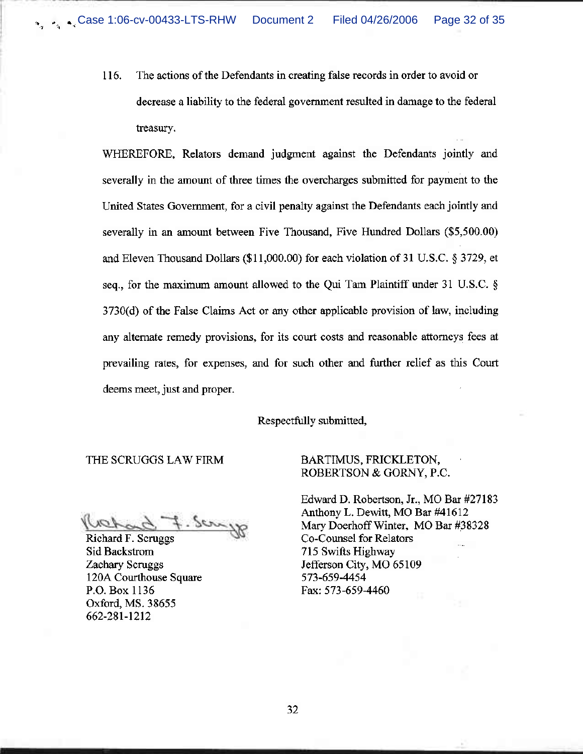116. The actions of the Defendants in creating false records in order to avoid or decrease a liability to the federal government resulted in damage to the federal treasury.

WHEREFORE, Relators demand judgment against the Defendants jointly and severally in the amount of three times the overcharges submitted for payment to the United States Government, for a civil penalty against the Defendants each jointly and severally in an amount between Five Thousand, Five Hundred Dollars (\$5,500.00) and Eleven Thousand Dollars (\$11,000.00) for each violation of 31 U.S.C. § 3729, et seq., for the maximum amount allowed to the Qui Tam Plaintiff under 31 U.S.C. § 3730(d) of the False Claims Act or any other applicable provision of law, including any alternate remedy provisions, for its court costs and reasonable attorneys fees at prevailing rates, for expenses, and for such other and further relief as this Court deems meet, just and proper.

Respectfully submitted,

THE SCRUGGS LAW FIRM

 $s$ 

Richard F. Scruggs Sid Backstrom Zachary Scruggs 120A Courthouse Square P.O. Box 1136 Oxford, MS. 38655 662-281-1212

# BARTIMUS, FRICKLETON, ROBERTSON & GORNY, P.C.

Edward D. Robertson, Jr., MO Bar #27183 Anthony L. Dewitt, MO Bar #41612 Mary Doerhoff Winter, MO Bar #38328 Co-Counsel for Relators 715 Swifts Highway Jefferson City, MO 65109 573-659-4454 Fax: 573-659-4460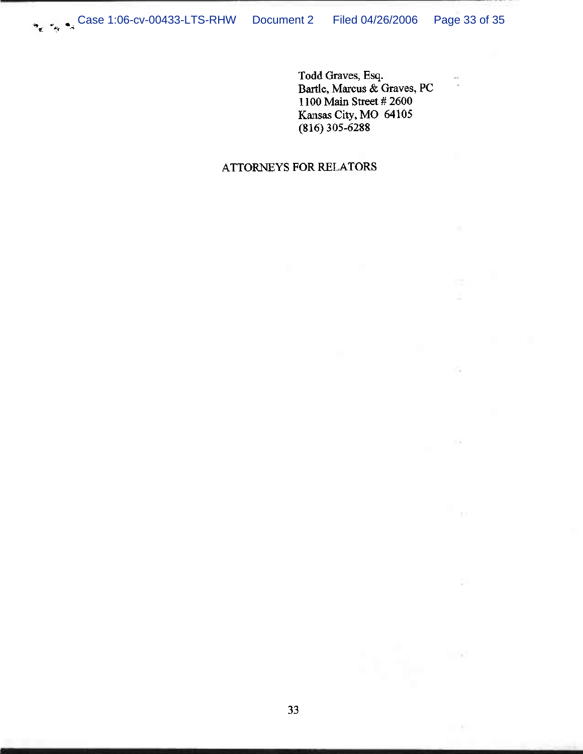Todd Graves, Esq.<br>Bartle, Marcus & Graves, PC 1100 Main Street # 2600 Kansas City, MO 64105  $(816)$  305-6288

 $\frac{1}{\sqrt{2}}$ 

 $\geq 1$ 

 $\mathbb{R}^n$ 

- 65

# ATTORNEYS FOR RELATORS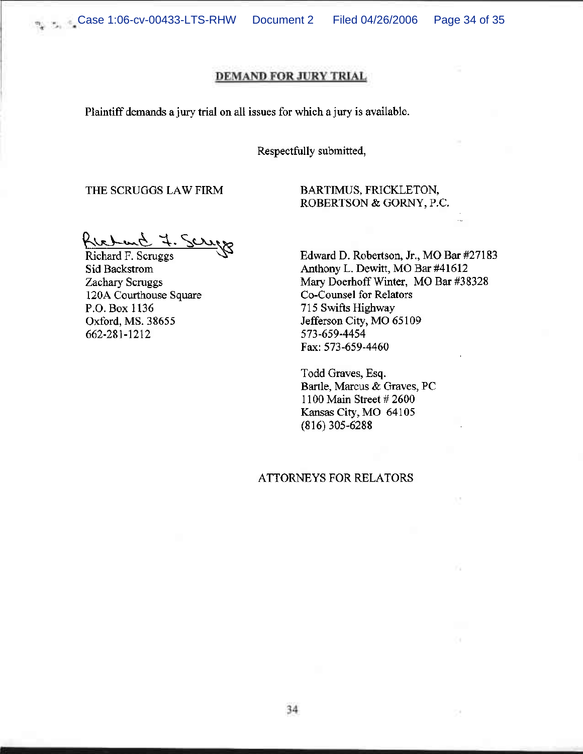Document 2 Filed 04/26/2006 Page 34 of 35

# **DEMAND FOR JURY TRIAL**

Plaintiff demands a jury trial on all issues for which a jury is available.

## Respectfully submitted,

THE SCRUGGS LAW FIRM

BARTIMUS, FRICKLETON, ROBERTSON & GORNY, P.C.

Richard 7. Ser

Richard F. Scruggs Sid Backstrom Zachary Scruggs 120A Courthouse Square P.O. Box 1136 Oxford, MS. 38655 662-281-1212

Edward D. Robertson, Jr., MO Bar #27183 Anthony L. Dewitt, MO Bar #41612 Mary Doerhoff Winter, MO Bar #38328 Co-Counsel for Relators 715 Swifts Highway Jefferson City, MO 65109 573-659-4454 Fax: 573-659-4460

Todd Graves, Esq. Bartle, Marcus & Graves, PC 1100 Main Street # 2600 Kansas City, MO 64105  $(816)$  305-6288

# ATTORNEYS FOR RELATORS